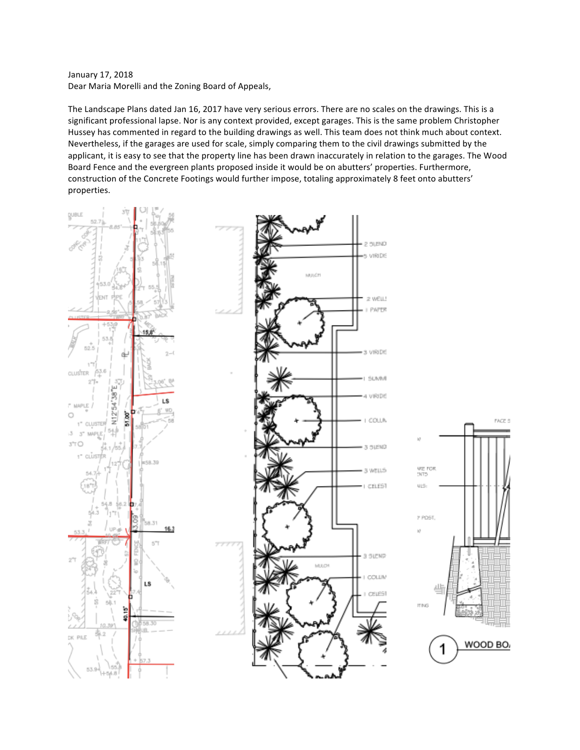January 17, 2018 Dear Maria Morelli and the Zoning Board of Appeals,

The Landscape Plans dated Jan 16, 2017 have very serious errors. There are no scales on the drawings. This is a significant professional lapse. Nor is any context provided, except garages. This is the same problem Christopher Hussey has commented in regard to the building drawings as well. This team does not think much about context. Nevertheless, if the garages are used for scale, simply comparing them to the civil drawings submitted by the applicant, it is easy to see that the property line has been drawn inaccurately in relation to the garages. The Wood Board Fence and the evergreen plants proposed inside it would be on abutters' properties. Furthermore, construction of the Concrete Footings would further impose, totaling approximately 8 feet onto abutters' properties.